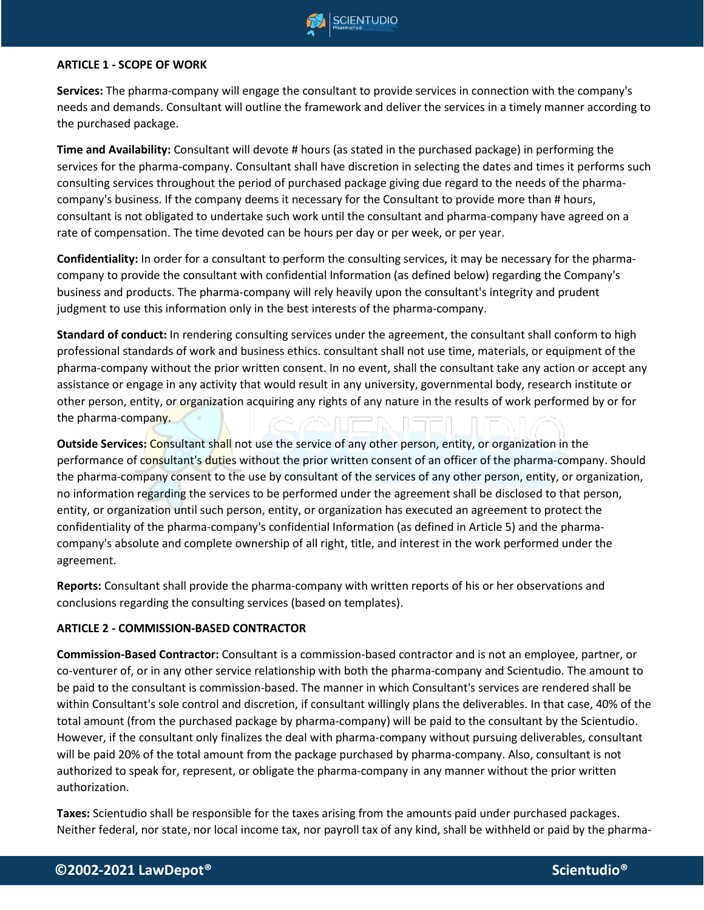

#### **ARTICLE 1 - SCOPE OF WORK**

**Services:** The pharma-company will engage the consultant to provide services in connection with the company's needs and demands. Consultant will outline the framework and deliver the services in a timely manner according to the purchased package.

**Time and Availability:** Consultant will devote # hours (as stated in the purchased package) in performing the services for the pharma-company. Consultant shall have discretion in selecting the dates and times it performs such consulting services throughout the period of purchased package giving due regard to the needs of the pharmacompany's business. If the company deems it necessary for the Consultant to provide more than # hours, consultant is not obligated to undertake such work until the consultant and pharma-company have agreed on a rate of compensation. The time devoted can be hours per day or per week, or per year.

**Confidentiality:** In order for a consultant to perform the consulting services, it may be necessary for the pharmacompany to provide the consultant with confidential Information (as defined below) regarding the Company's business and products. The pharma-company will rely heavily upon the consultant's integrity and prudent judgment to use this information only in the best interests of the pharma-company.

**Standard of conduct:** In rendering consulting services under the agreement, the consultant shall conform to high professional standards of work and business ethics. consultant shall not use time, materials, or equipment of the pharma-company without the prior written consent. In no event, shall the consultant take any action or accept any assistance or engage in any activity that would result in any university, governmental body, research institute or other person, entity, or organization acquiring any rights of any nature in the results of work performed by or for the pharma-company. CAIFMEN IF

**Outside Services:** Consultant shall not use the service of any other person, entity, or organization in the performance of consultant's duties without the prior written consent of an officer of the pharma-company. Should the pharma-company consent to the use by consultant of the services of any other person, entity, or organization, no information regarding the services to be performed under the agreement shall be disclosed to that person, entity, or organization until such person, entity, or organization has executed an agreement to protect the confidentiality of the pharma-company's confidential Information (as defined in Article 5) and the pharmacompany's absolute and complete ownership of all right, title, and interest in the work performed under the agreement.

**Reports:** Consultant shall provide the pharma-company with written reports of his or her observations and conclusions regarding the consulting services (based on templates).

#### **ARTICLE 2 - COMMISSION-BASED CONTRACTOR**

**Commission-Based Contractor:** Consultant is a commission-based contractor and is not an employee, partner, or co-venturer of, or in any other service relationship with both the pharma-company and Scientudio. The amount to be paid to the consultant is commission-based. The manner in which Consultant's services are rendered shall be within Consultant's sole control and discretion, if consultant willingly plans the deliverables. In that case, 40% of the total amount (from the purchased package by pharma-company) will be paid to the consultant by the Scientudio. However, if the consultant only finalizes the deal with pharma-company without pursuing deliverables, consultant will be paid 20% of the total amount from the package purchased by pharma-company. Also, consultant is not authorized to speak for, represent, or obligate the pharma-company in any manner without the prior written authorization.

**Taxes:** Scientudio shall be responsible for the taxes arising from the amounts paid under purchased packages. Neither federal, nor state, nor local income tax, nor payroll tax of any kind, shall be withheld or paid by the pharma-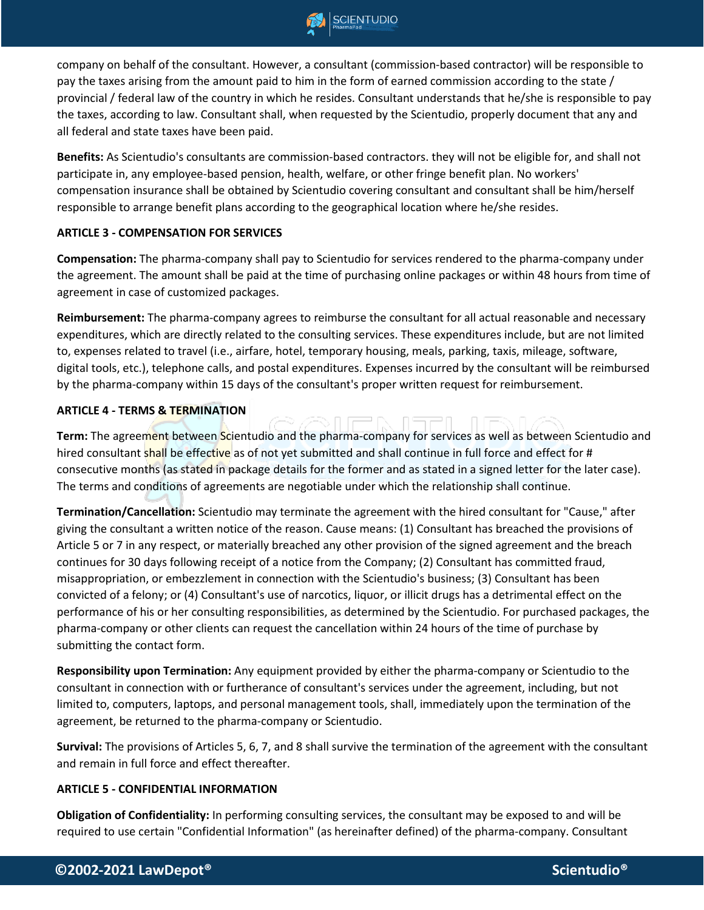

company on behalf of the consultant. However, a consultant (commission-based contractor) will be responsible to pay the taxes arising from the amount paid to him in the form of earned commission according to the state / provincial / federal law of the country in which he resides. Consultant understands that he/she is responsible to pay the taxes, according to law. Consultant shall, when requested by the Scientudio, properly document that any and all federal and state taxes have been paid.

**Benefits:** As Scientudio's consultants are commission-based contractors. they will not be eligible for, and shall not participate in, any employee-based pension, health, welfare, or other fringe benefit plan. No workers' compensation insurance shall be obtained by Scientudio covering consultant and consultant shall be him/herself responsible to arrange benefit plans according to the geographical location where he/she resides.

#### **ARTICLE 3 - COMPENSATION FOR SERVICES**

**Compensation:** The pharma-company shall pay to Scientudio for services rendered to the pharma-company under the agreement. The amount shall be paid at the time of purchasing online packages or within 48 hours from time of agreement in case of customized packages.

**Reimbursement:** The pharma-company agrees to reimburse the consultant for all actual reasonable and necessary expenditures, which are directly related to the consulting services. These expenditures include, but are not limited to, expenses related to travel (i.e., airfare, hotel, temporary housing, meals, parking, taxis, mileage, software, digital tools, etc.), telephone calls, and postal expenditures. Expenses incurred by the consultant will be reimbursed by the pharma-company within 15 days of the consultant's proper written request for reimbursement.

#### **ARTICLE 4 - TERMS & TERMINATION**

**Term:** The agreement between Scientudio and the pharma-company for services as well as between Scientudio and hired consultant shall be effective as of not yet submitted and shall continue in full force and effect for # consecutive months (as stated in package details for the former and as stated in a signed letter for the later case). The terms and conditions of agreements are negotiable under which the relationship shall continue.

**Termination/Cancellation:** Scientudio may terminate the agreement with the hired consultant for "Cause," after giving the consultant a written notice of the reason. Cause means: (1) Consultant has breached the provisions of Article 5 or 7 in any respect, or materially breached any other provision of the signed agreement and the breach continues for 30 days following receipt of a notice from the Company; (2) Consultant has committed fraud, misappropriation, or embezzlement in connection with the Scientudio's business; (3) Consultant has been convicted of a felony; or (4) Consultant's use of narcotics, liquor, or illicit drugs has a detrimental effect on the performance of his or her consulting responsibilities, as determined by the Scientudio. For purchased packages, the pharma-company or other clients can request the cancellation within 24 hours of the time of purchase by submitting the contact form.

**Responsibility upon Termination:** Any equipment provided by either the pharma-company or Scientudio to the consultant in connection with or furtherance of consultant's services under the agreement, including, but not limited to, computers, laptops, and personal management tools, shall, immediately upon the termination of the agreement, be returned to the pharma-company or Scientudio.

**Survival:** The provisions of Articles 5, 6, 7, and 8 shall survive the termination of the agreement with the consultant and remain in full force and effect thereafter.

#### **ARTICLE 5 - CONFIDENTIAL INFORMATION**

**Obligation of Confidentiality:** In performing consulting services, the consultant may be exposed to and will be required to use certain "Confidential Information" (as hereinafter defined) of the pharma-company. Consultant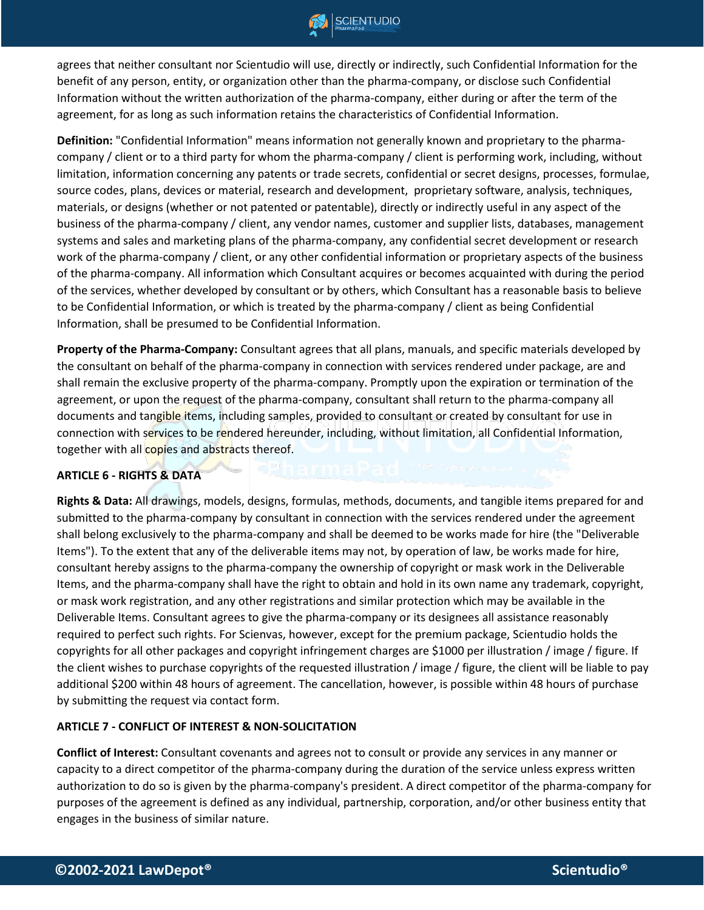

agrees that neither consultant nor Scientudio will use, directly or indirectly, such Confidential Information for the benefit of any person, entity, or organization other than the pharma-company, or disclose such Confidential Information without the written authorization of the pharma-company, either during or after the term of the agreement, for as long as such information retains the characteristics of Confidential Information.

**Definition:** "Confidential Information" means information not generally known and proprietary to the pharmacompany / client or to a third party for whom the pharma-company / client is performing work, including, without limitation, information concerning any patents or trade secrets, confidential or secret designs, processes, formulae, source codes, plans, devices or material, research and development, proprietary software, analysis, techniques, materials, or designs (whether or not patented or patentable), directly or indirectly useful in any aspect of the business of the pharma-company / client, any vendor names, customer and supplier lists, databases, management systems and sales and marketing plans of the pharma-company, any confidential secret development or research work of the pharma-company / client, or any other confidential information or proprietary aspects of the business of the pharma-company. All information which Consultant acquires or becomes acquainted with during the period of the services, whether developed by consultant or by others, which Consultant has a reasonable basis to believe to be Confidential Information, or which is treated by the pharma-company / client as being Confidential Information, shall be presumed to be Confidential Information.

**Property of the Pharma-Company:** Consultant agrees that all plans, manuals, and specific materials developed by the consultant on behalf of the pharma-company in connection with services rendered under package, are and shall remain the exclusive property of the pharma-company. Promptly upon the expiration or termination of the agreement, or upon the request of the pharma-company, consultant shall return to the pharma-company all documents and tangible items, including samples, provided to consultant or created by consultant for use in connection with services to be rendered hereunder, including, without limitation, all Confidential Information, together with all copies and abstracts thereof.

#### **ARTICLE 6 - RIGHTS & DATA**

**Rights & Data:** All drawings, models, designs, formulas, methods, documents, and tangible items prepared for and submitted to the pharma-company by consultant in connection with the services rendered under the agreement shall belong exclusively to the pharma-company and shall be deemed to be works made for hire (the "Deliverable Items"). To the extent that any of the deliverable items may not, by operation of law, be works made for hire, consultant hereby assigns to the pharma-company the ownership of copyright or mask work in the Deliverable Items, and the pharma-company shall have the right to obtain and hold in its own name any trademark, copyright, or mask work registration, and any other registrations and similar protection which may be available in the Deliverable Items. Consultant agrees to give the pharma-company or its designees all assistance reasonably required to perfect such rights. For Scienvas, however, except for the premium package, Scientudio holds the copyrights for all other packages and copyright infringement charges are \$1000 per illustration / image / figure. If the client wishes to purchase copyrights of the requested illustration / image / figure, the client will be liable to pay additional \$200 within 48 hours of agreement. The cancellation, however, is possible within 48 hours of purchase by submitting the request via contact form.

#### **ARTICLE 7 - CONFLICT OF INTEREST & NON-SOLICITATION**

**Conflict of Interest:** Consultant covenants and agrees not to consult or provide any services in any manner or capacity to a direct competitor of the pharma-company during the duration of the service unless express written authorization to do so is given by the pharma-company's president. A direct competitor of the pharma-company for purposes of the agreement is defined as any individual, partnership, corporation, and/or other business entity that engages in the business of similar nature.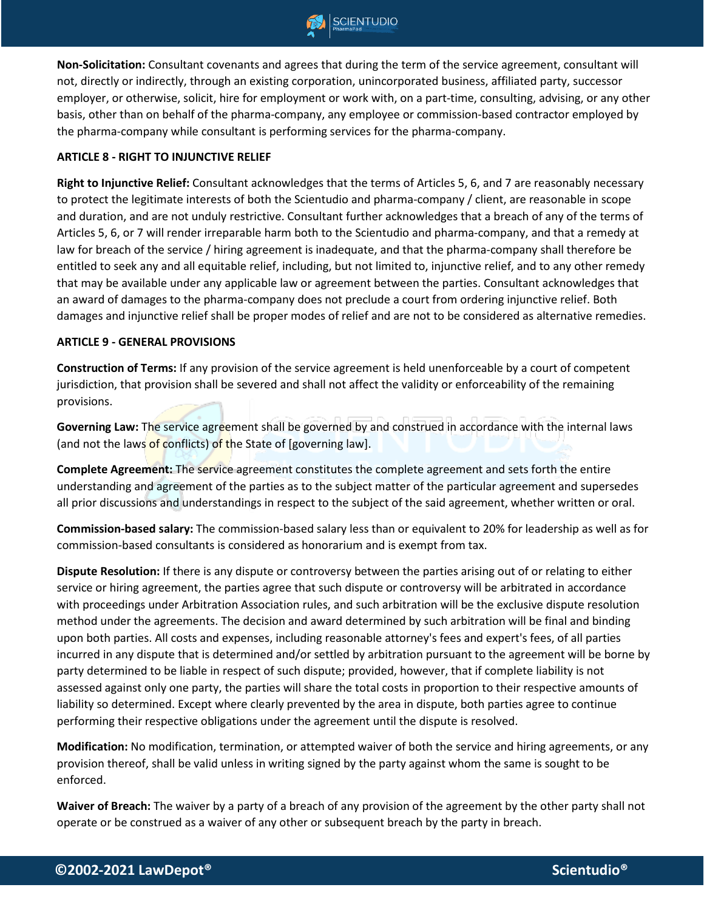

**Non-Solicitation:** Consultant covenants and agrees that during the term of the service agreement, consultant will not, directly or indirectly, through an existing corporation, unincorporated business, affiliated party, successor employer, or otherwise, solicit, hire for employment or work with, on a part-time, consulting, advising, or any other basis, other than on behalf of the pharma-company, any employee or commission-based contractor employed by the pharma-company while consultant is performing services for the pharma-company.

#### **ARTICLE 8 - RIGHT TO INJUNCTIVE RELIEF**

**Right to Injunctive Relief:** Consultant acknowledges that the terms of Articles 5, 6, and 7 are reasonably necessary to protect the legitimate interests of both the Scientudio and pharma-company / client, are reasonable in scope and duration, and are not unduly restrictive. Consultant further acknowledges that a breach of any of the terms of Articles 5, 6, or 7 will render irreparable harm both to the Scientudio and pharma-company, and that a remedy at law for breach of the service / hiring agreement is inadequate, and that the pharma-company shall therefore be entitled to seek any and all equitable relief, including, but not limited to, injunctive relief, and to any other remedy that may be available under any applicable law or agreement between the parties. Consultant acknowledges that an award of damages to the pharma-company does not preclude a court from ordering injunctive relief. Both damages and injunctive relief shall be proper modes of relief and are not to be considered as alternative remedies.

#### **ARTICLE 9 - GENERAL PROVISIONS**

**Construction of Terms:** If any provision of the service agreement is held unenforceable by a court of competent jurisdiction, that provision shall be severed and shall not affect the validity or enforceability of the remaining provisions.

Governing Law: The service agreement shall be governed by and construed in accordance with the internal laws (and not the laws of conflicts) of the State of [governing law].

**Complete Agreement:** The service agreement constitutes the complete agreement and sets forth the entire understanding and agreement of the parties as to the subject matter of the particular agreement and supersedes all prior discussions and understandings in respect to the subject of the said agreement, whether written or oral.

**Commission-based salary:** The commission-based salary less than or equivalent to 20% for leadership as well as for commission-based consultants is considered as honorarium and is exempt from tax.

**Dispute Resolution:** If there is any dispute or controversy between the parties arising out of or relating to either service or hiring agreement, the parties agree that such dispute or controversy will be arbitrated in accordance with proceedings under Arbitration Association rules, and such arbitration will be the exclusive dispute resolution method under the agreements. The decision and award determined by such arbitration will be final and binding upon both parties. All costs and expenses, including reasonable attorney's fees and expert's fees, of all parties incurred in any dispute that is determined and/or settled by arbitration pursuant to the agreement will be borne by party determined to be liable in respect of such dispute; provided, however, that if complete liability is not assessed against only one party, the parties will share the total costs in proportion to their respective amounts of liability so determined. Except where clearly prevented by the area in dispute, both parties agree to continue performing their respective obligations under the agreement until the dispute is resolved.

**Modification:** No modification, termination, or attempted waiver of both the service and hiring agreements, or any provision thereof, shall be valid unless in writing signed by the party against whom the same is sought to be enforced.

**Waiver of Breach:** The waiver by a party of a breach of any provision of the agreement by the other party shall not operate or be construed as a waiver of any other or subsequent breach by the party in breach.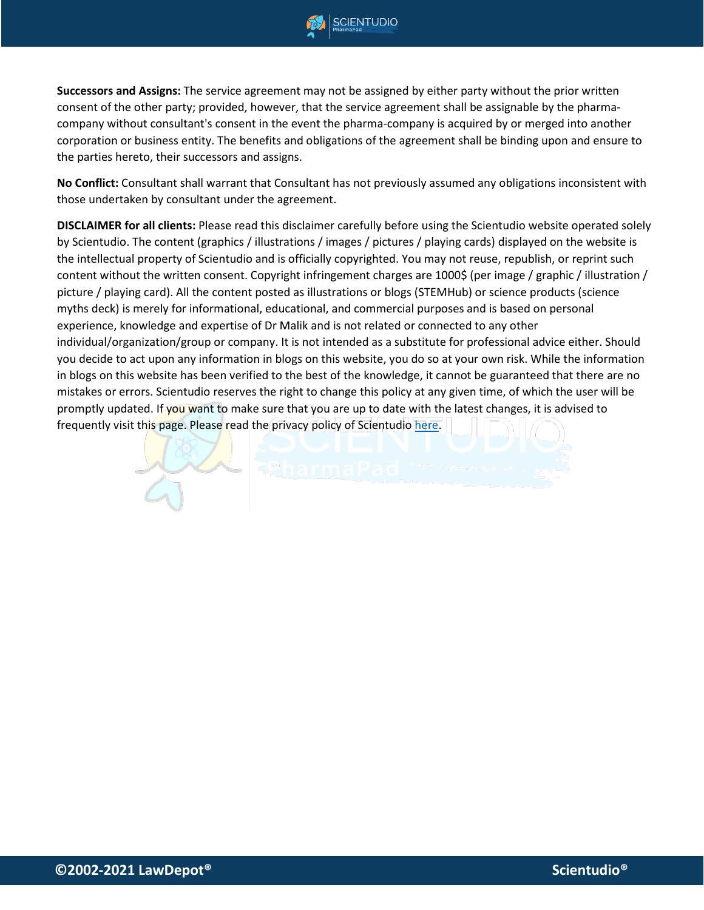

**CIENTUDIO** 

**Successors and Assigns:** The service agreement may not be assigned by either party without the prior written consent of the other party; provided, however, that the service agreement shall be assignable by the pharmacompany without consultant's consent in the event the pharma-company is acquired by or merged into another corporation or business entity. The benefits and obligations of the agreement shall be binding upon and ensure to the parties hereto, their successors and assigns.

**No Conflict:** Consultant shall warrant that Consultant has not previously assumed any obligations inconsistent with those undertaken by consultant under the agreement.

**DISCLAIMER for all clients:** Please read this disclaimer carefully before using the Scientudio website operated solely by Scientudio. The content (graphics / illustrations / images / pictures / playing cards) displayed on the website is the intellectual property of Scientudio and is officially copyrighted. You may not reuse, republish, or reprint such content without the written consent. Copyright infringement charges are 1000\$ (per image / graphic / illustration / picture / playing card). All the content posted as illustrations or blogs (STEMHub) or science products (science myths deck) is merely for informational, educational, and commercial purposes and is based on personal experience, knowledge and expertise of Dr Malik and is not related or connected to any other individual/organization/group or company. It is not intended as a substitute for professional advice either. Should you decide to act upon any information in blogs on this website, you do so at your own risk. While the information in blogs on this website has been verified to the best of the knowledge, it cannot be guaranteed that there are no mistakes or errors. Scientudio reserves the right to change this policy at any given time, of which the user will be promptly updated. If you want to make sure that you are up to date with the latest changes, it is advised to frequently visit this page. Please read the privacy policy of Scientudio [here.](https://278cf60e-5948-4a76-934c-1b0b0e488d7d.filesusr.com/ugd/04d4e2_d240f2d6822347c7b2e06290a2c3c6b4.pdf)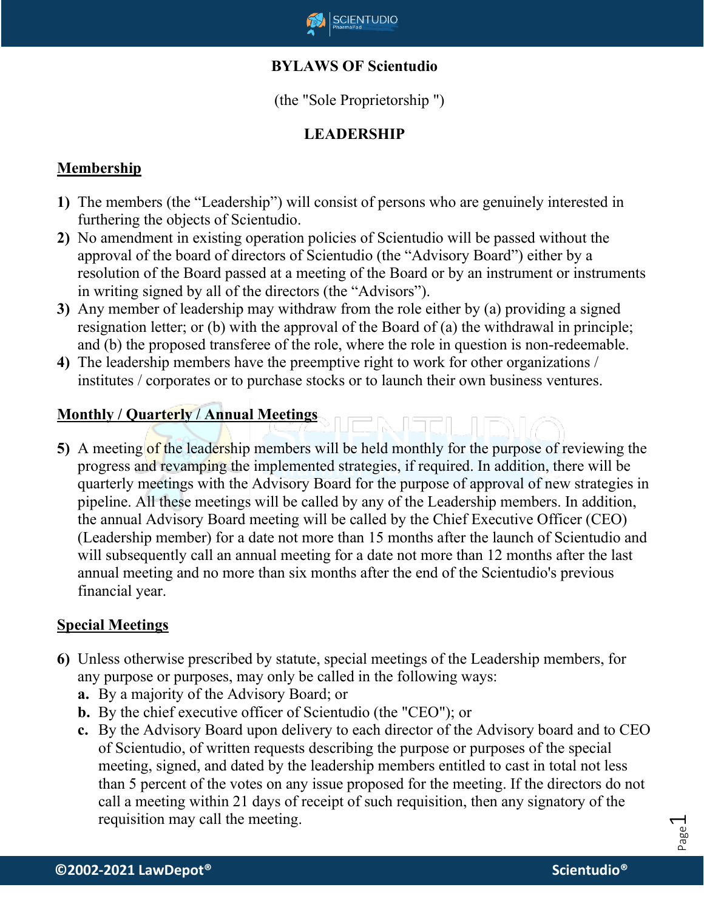

# **BYLAWS OF Scientudio**

(the "Sole Proprietorship ")

# **LEADERSHIP**

# **Membership**

- **1)** The members (the "Leadership") will consist of persons who are genuinely interested in furthering the objects of Scientudio.
- **2)** No amendment in existing operation policies of Scientudio will be passed without the approval of the board of directors of Scientudio (the "Advisory Board") either by a resolution of the Board passed at a meeting of the Board or by an instrument or instruments in writing signed by all of the directors (the "Advisors").
- **3)** Any member of leadership may withdraw from the role either by (a) providing a signed resignation letter; or (b) with the approval of the Board of (a) the withdrawal in principle; and (b) the proposed transferee of the role, where the role in question is non-redeemable.
- **4)** The leadership members have the preemptive right to work for other organizations / institutes / corporates or to purchase stocks or to launch their own business ventures.

# **Monthly / Quarterly / Annual Meetings**

**5)** A meeting of the leadership members will be held monthly for the purpose of reviewing the progress and revamping the implemented strategies, if required. In addition, there will be quarterly meetings with the Advisory Board for the purpose of approval of new strategies in pipeline. All these meetings will be called by any of the Leadership members. In addition, the annual Advisory Board meeting will be called by the Chief Executive Officer (CEO) (Leadership member) for a date not more than 15 months after the launch of Scientudio and will subsequently call an annual meeting for a date not more than 12 months after the last annual meeting and no more than six months after the end of the Scientudio's previous financial year.

# **Special Meetings**

- **6)** Unless otherwise prescribed by statute, special meetings of the Leadership members, for any purpose or purposes, may only be called in the following ways:
	- **a.** By a majority of the Advisory Board; or
	- **b.** By the chief executive officer of Scientudio (the "CEO"); or
	- **c.** By the Advisory Board upon delivery to each director of the Advisory board and to CEO of Scientudio, of written requests describing the purpose or purposes of the special meeting, signed, and dated by the leadership members entitled to cast in total not less than 5 percent of the votes on any issue proposed for the meeting. If the directors do not call a meeting within 21 days of receipt of such requisition, then any signatory of the requisition may call the meeting.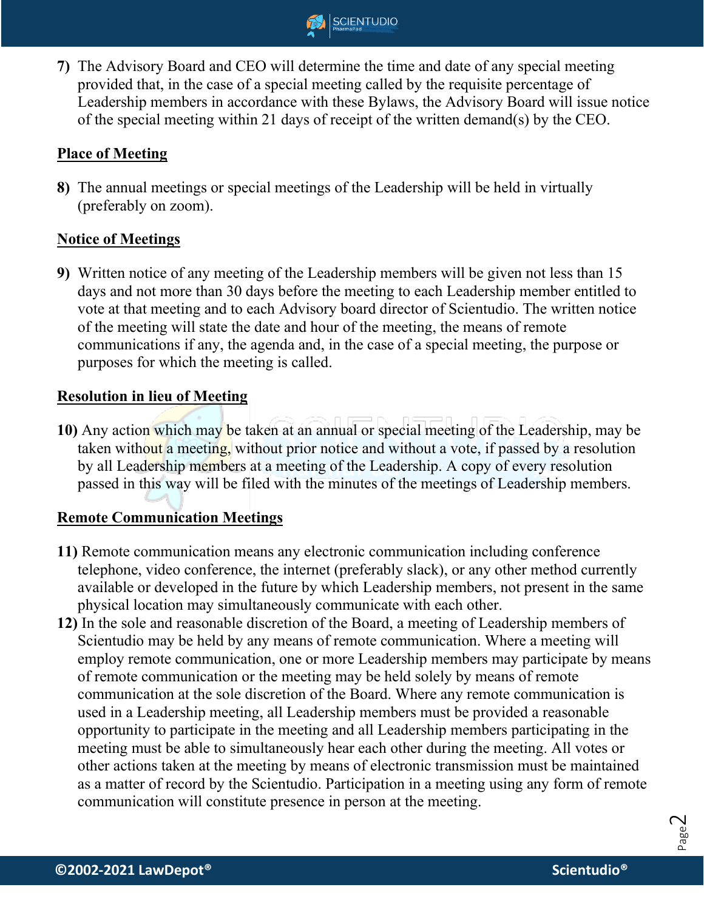

**7)** The Advisory Board and CEO will determine the time and date of any special meeting provided that, in the case of a special meeting called by the requisite percentage of Leadership members in accordance with these Bylaws, the Advisory Board will issue notice of the special meeting within 21 days of receipt of the written demand(s) by the CEO.

# **Place of Meeting**

**8)** The annual meetings or special meetings of the Leadership will be held in virtually (preferably on zoom).

# **Notice of Meetings**

**9)** Written notice of any meeting of the Leadership members will be given not less than 15 days and not more than 30 days before the meeting to each Leadership member entitled to vote at that meeting and to each Advisory board director of Scientudio. The written notice of the meeting will state the date and hour of the meeting, the means of remote communications if any, the agenda and, in the case of a special meeting, the purpose or purposes for which the meeting is called.

# **Resolution in lieu of Meeting**

**10)** Any action which may be taken at an annual or special meeting of the Leadership, may be taken without a meeting, without prior notice and without a vote, if passed by a resolution by all Leadership members at a meeting of the Leadership. A copy of every resolution passed in this way will be filed with the minutes of the meetings of Leadership members.

# **Remote Communication Meetings**

- **11)** Remote communication means any electronic communication including conference telephone, video conference, the internet (preferably slack), or any other method currently available or developed in the future by which Leadership members, not present in the same physical location may simultaneously communicate with each other.
- **12)** In the sole and reasonable discretion of the Board, a meeting of Leadership members of Scientudio may be held by any means of remote communication. Where a meeting will employ remote communication, one or more Leadership members may participate by means of remote communication or the meeting may be held solely by means of remote communication at the sole discretion of the Board. Where any remote communication is used in a Leadership meeting, all Leadership members must be provided a reasonable opportunity to participate in the meeting and all Leadership members participating in the meeting must be able to simultaneously hear each other during the meeting. All votes or other actions taken at the meeting by means of electronic transmission must be maintained as a matter of record by the Scientudio. Participation in a meeting using any form of remote communication will constitute presence in person at the meeting.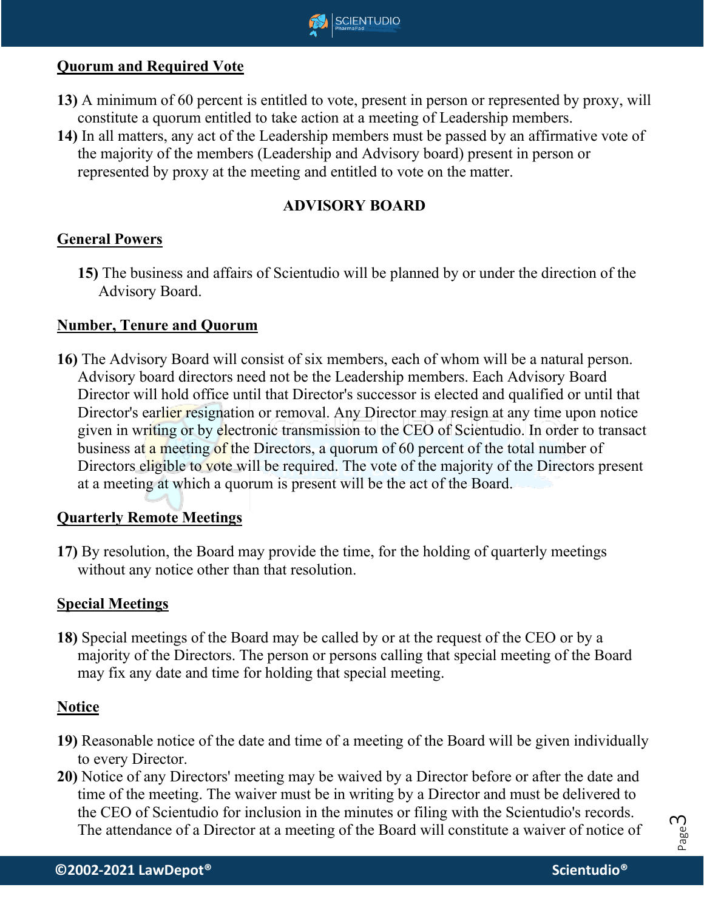

## **Quorum and Required Vote**

- **13)** A minimum of 60 percent is entitled to vote, present in person or represented by proxy, will constitute a quorum entitled to take action at a meeting of Leadership members.
- **14)** In all matters, any act of the Leadership members must be passed by an affirmative vote of the majority of the members (Leadership and Advisory board) present in person or represented by proxy at the meeting and entitled to vote on the matter.

## **ADVISORY BOARD**

### **General Powers**

**15)** The business and affairs of Scientudio will be planned by or under the direction of the Advisory Board.

#### **Number, Tenure and Quorum**

**16)** The Advisory Board will consist of six members, each of whom will be a natural person. Advisory board directors need not be the Leadership members. Each Advisory Board Director will hold office until that Director's successor is elected and qualified or until that Director's earlier resignation or removal. Any Director may resign at any time upon notice given in writing or by electronic transmission to the CEO of Scientudio. In order to transact business at a meeting of the Directors, a quorum of 60 percent of the total number of Directors eligible to vote will be required. The vote of the majority of the Directors present at a meeting at which a quorum is present will be the act of the Board.

### **Quarterly Remote Meetings**

**17)** By resolution, the Board may provide the time, for the holding of quarterly meetings without any notice other than that resolution.

### **Special Meetings**

**18)** Special meetings of the Board may be called by or at the request of the CEO or by a majority of the Directors. The person or persons calling that special meeting of the Board may fix any date and time for holding that special meeting.

#### **Notice**

- **19)** Reasonable notice of the date and time of a meeting of the Board will be given individually to every Director.
- **20)** Notice of any Directors' meeting may be waived by a Director before or after the date and time of the meeting. The waiver must be in writing by a Director and must be delivered to the CEO of Scientudio for inclusion in the minutes or filing with the Scientudio's records. The attendance of a Director at a meeting of the Board will constitute a waiver of notice of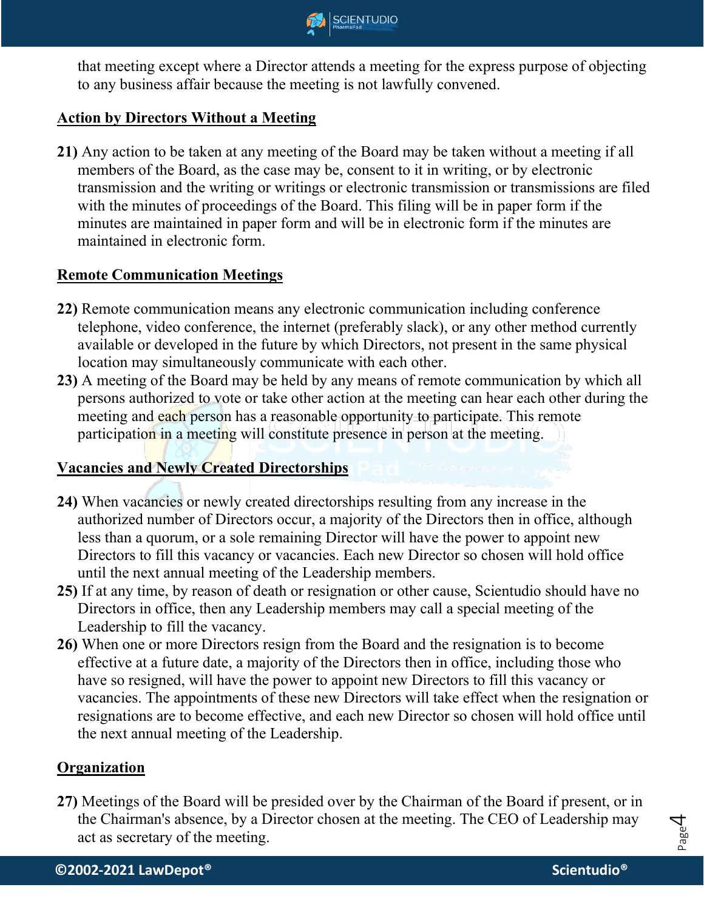

that meeting except where a Director attends a meeting for the express purpose of objecting to any business affair because the meeting is not lawfully convened.

## **Action by Directors Without a Meeting**

**21)** Any action to be taken at any meeting of the Board may be taken without a meeting if all members of the Board, as the case may be, consent to it in writing, or by electronic transmission and the writing or writings or electronic transmission or transmissions are filed with the minutes of proceedings of the Board. This filing will be in paper form if the minutes are maintained in paper form and will be in electronic form if the minutes are maintained in electronic form.

### **Remote Communication Meetings**

- **22)** Remote communication means any electronic communication including conference telephone, video conference, the internet (preferably slack), or any other method currently available or developed in the future by which Directors, not present in the same physical location may simultaneously communicate with each other.
- **23)** A meeting of the Board may be held by any means of remote communication by which all persons authorized to vote or take other action at the meeting can hear each other during the meeting and each person has a reasonable opportunity to participate. This remote participation in a meeting will constitute presence in person at the meeting.

# **Vacancies and Newly Created Directorships**

- **24)** When vacancies or newly created directorships resulting from any increase in the authorized number of Directors occur, a majority of the Directors then in office, although less than a quorum, or a sole remaining Director will have the power to appoint new Directors to fill this vacancy or vacancies. Each new Director so chosen will hold office until the next annual meeting of the Leadership members.
- **25)** If at any time, by reason of death or resignation or other cause, Scientudio should have no Directors in office, then any Leadership members may call a special meeting of the Leadership to fill the vacancy.
- **26)** When one or more Directors resign from the Board and the resignation is to become effective at a future date, a majority of the Directors then in office, including those who have so resigned, will have the power to appoint new Directors to fill this vacancy or vacancies. The appointments of these new Directors will take effect when the resignation or resignations are to become effective, and each new Director so chosen will hold office until the next annual meeting of the Leadership.

#### **Organization**

**27)** Meetings of the Board will be presided over by the Chairman of the Board if present, or in the Chairman's absence, by a Director chosen at the meeting. The CEO of Leadership may act as secretary of the meeting.

Page 4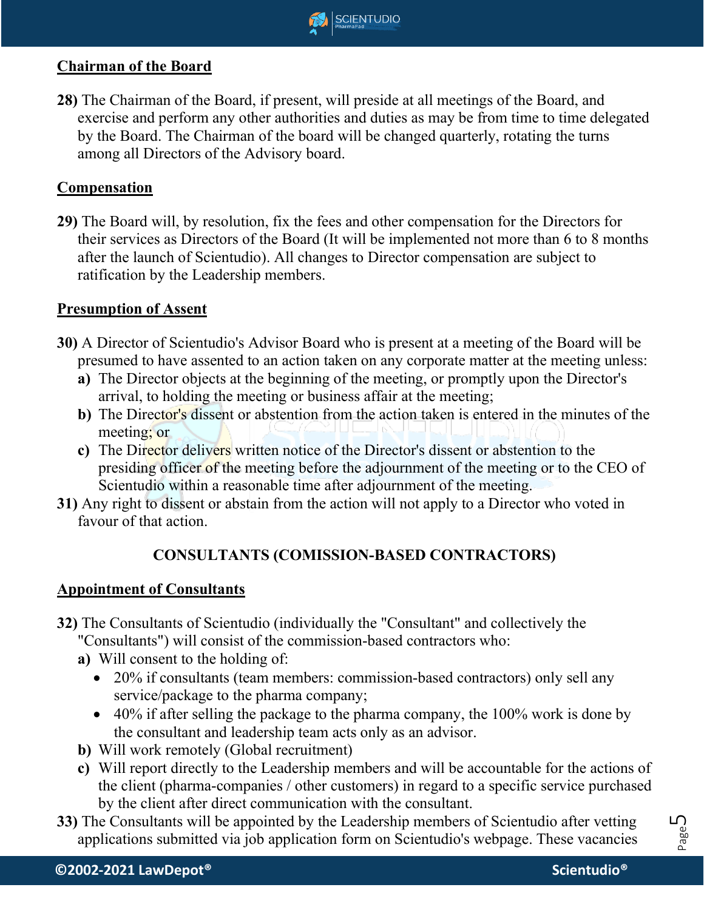

## **Chairman of the Board**

**28)** The Chairman of the Board, if present, will preside at all meetings of the Board, and exercise and perform any other authorities and duties as may be from time to time delegated by the Board. The Chairman of the board will be changed quarterly, rotating the turns among all Directors of the Advisory board.

### **Compensation**

**29)** The Board will, by resolution, fix the fees and other compensation for the Directors for their services as Directors of the Board (It will be implemented not more than 6 to 8 months after the launch of Scientudio). All changes to Director compensation are subject to ratification by the Leadership members.

#### **Presumption of Assent**

- **30)** A Director of Scientudio's Advisor Board who is present at a meeting of the Board will be presumed to have assented to an action taken on any corporate matter at the meeting unless:
	- **a)** The Director objects at the beginning of the meeting, or promptly upon the Director's arrival, to holding the meeting or business affair at the meeting;
	- **b)** The Director's dissent or abstention from the action taken is entered in the minutes of the meeting; or
	- **c)** The Director delivers written notice of the Director's dissent or abstention to the presiding officer of the meeting before the adjournment of the meeting or to the CEO of Scientudio within a reasonable time after adjournment of the meeting.
- **31)** Any right to dissent or abstain from the action will not apply to a Director who voted in favour of that action.

### **CONSULTANTS (COMISSION-BASED CONTRACTORS)**

#### **Appointment of Consultants**

- **32)** The Consultants of Scientudio (individually the "Consultant" and collectively the "Consultants") will consist of the commission-based contractors who:
	-
	- **a)** Will consent to the holding of:
		- 20% if consultants (team members: commission-based contractors) only sell any service/package to the pharma company;
		- $\bullet$  40% if after selling the package to the pharma company, the 100% work is done by the consultant and leadership team acts only as an advisor.
	- **b)** Will work remotely (Global recruitment)
	- **c)** Will report directly to the Leadership members and will be accountable for the actions of the client (pharma-companies / other customers) in regard to a specific service purchased by the client after direct communication with the consultant.
- **33)** The Consultants will be appointed by the Leadership members of Scientudio after vetting applications submitted via job application form on Scientudio's webpage. These vacancies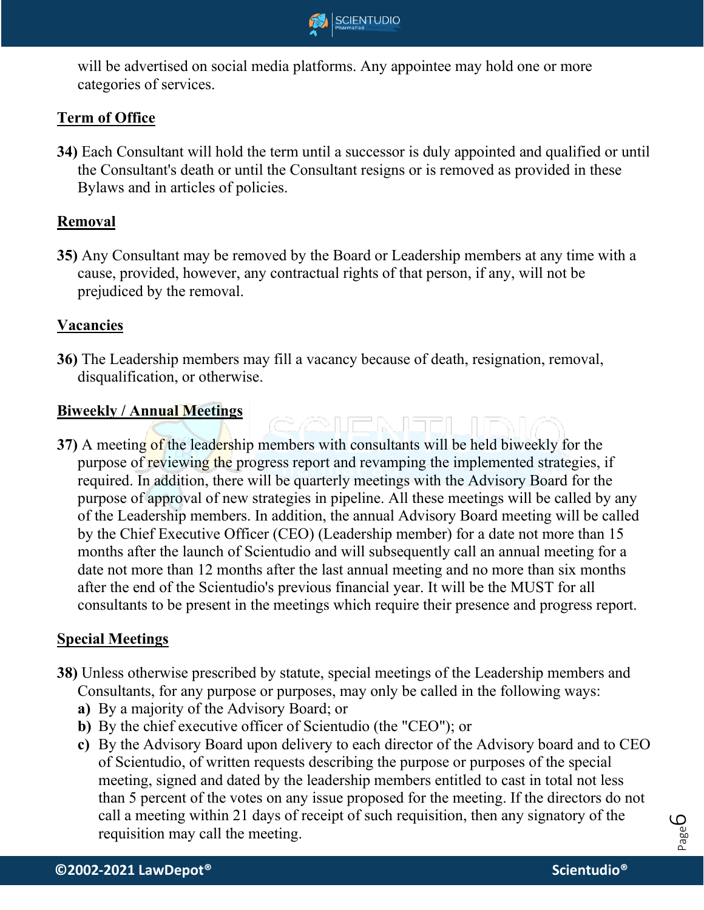

will be advertised on social media platforms. Any appointee may hold one or more categories of services.

# **Term of Office**

**34)** Each Consultant will hold the term until a successor is duly appointed and qualified or until the Consultant's death or until the Consultant resigns or is removed as provided in these Bylaws and in articles of policies.

## **Removal**

**35)** Any Consultant may be removed by the Board or Leadership members at any time with a cause, provided, however, any contractual rights of that person, if any, will not be prejudiced by the removal.

## **Vacancies**

**36)** The Leadership members may fill a vacancy because of death, resignation, removal, disqualification, or otherwise.

## **Biweekly / Annual Meetings**

**37)** A meeting of the leadership members with consultants will be held biweekly for the purpose of reviewing the progress report and revamping the implemented strategies, if required. In addition, there will be quarterly meetings with the Advisory Board for the purpose of approval of new strategies in pipeline. All these meetings will be called by any of the Leadership members. In addition, the annual Advisory Board meeting will be called by the Chief Executive Officer (CEO) (Leadership member) for a date not more than 15 months after the launch of Scientudio and will subsequently call an annual meeting for a date not more than 12 months after the last annual meeting and no more than six months after the end of the Scientudio's previous financial year. It will be the MUST for all consultants to be present in the meetings which require their presence and progress report.

<u>exencialar in</u>

### **Special Meetings**

- **38)** Unless otherwise prescribed by statute, special meetings of the Leadership members and Consultants, for any purpose or purposes, may only be called in the following ways:
	- **a)** By a majority of the Advisory Board; or
	- **b)** By the chief executive officer of Scientudio (the "CEO"); or
	- **c)** By the Advisory Board upon delivery to each director of the Advisory board and to CEO of Scientudio, of written requests describing the purpose or purposes of the special meeting, signed and dated by the leadership members entitled to cast in total not less than 5 percent of the votes on any issue proposed for the meeting. If the directors do not call a meeting within 21 days of receipt of such requisition, then any signatory of the requisition may call the meeting.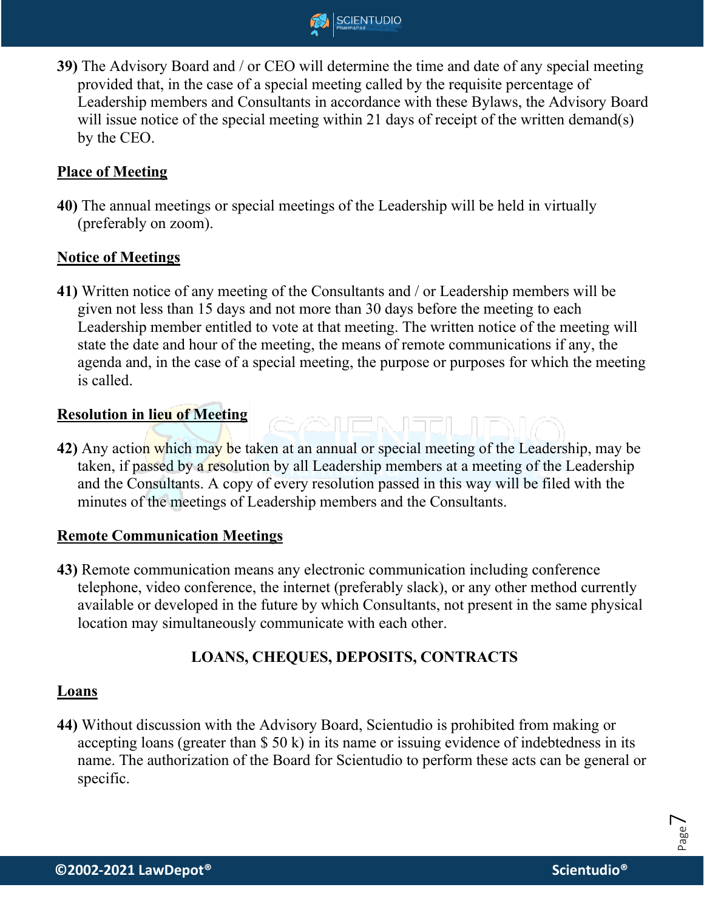

**39)** The Advisory Board and / or CEO will determine the time and date of any special meeting provided that, in the case of a special meeting called by the requisite percentage of Leadership members and Consultants in accordance with these Bylaws, the Advisory Board will issue notice of the special meeting within 21 days of receipt of the written demand(s) by the CEO.

## **Place of Meeting**

**40)** The annual meetings or special meetings of the Leadership will be held in virtually (preferably on zoom).

### **Notice of Meetings**

**41)** Written notice of any meeting of the Consultants and / or Leadership members will be given not less than 15 days and not more than 30 days before the meeting to each Leadership member entitled to vote at that meeting. The written notice of the meeting will state the date and hour of the meeting, the means of remote communications if any, the agenda and, in the case of a special meeting, the purpose or purposes for which the meeting is called.

#### **Resolution in lieu of Meeting**

**42)** Any action which may be taken at an annual or special meeting of the Leadership, may be taken, if passed by a resolution by all Leadership members at a meeting of the Leadership and the Consultants. A copy of every resolution passed in this way will be filed with the minutes of the meetings of Leadership members and the Consultants.

<u>e en anglur</u>

### **Remote Communication Meetings**

**43)** Remote communication means any electronic communication including conference telephone, video conference, the internet (preferably slack), or any other method currently available or developed in the future by which Consultants, not present in the same physical location may simultaneously communicate with each other.

# **LOANS, CHEQUES, DEPOSITS, CONTRACTS**

#### **Loans**

**44)** Without discussion with the Advisory Board, Scientudio is prohibited from making or accepting loans (greater than \$ 50 k) in its name or issuing evidence of indebtedness in its name. The authorization of the Board for Scientudio to perform these acts can be general or specific.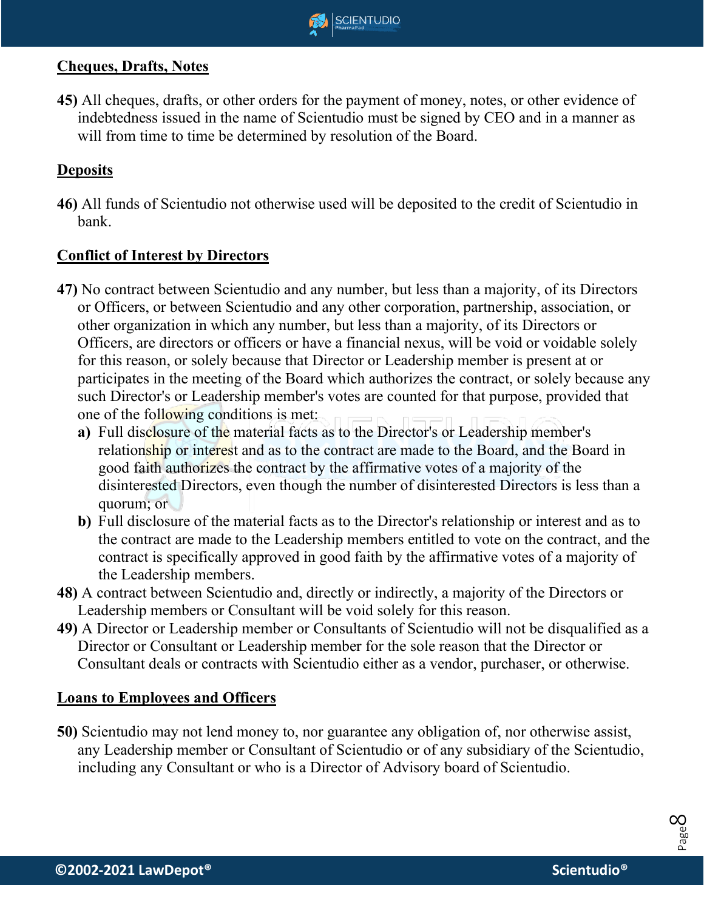

## **Cheques, Drafts, Notes**

**45)** All cheques, drafts, or other orders for the payment of money, notes, or other evidence of indebtedness issued in the name of Scientudio must be signed by CEO and in a manner as will from time to time be determined by resolution of the Board.

# **Deposits**

**46)** All funds of Scientudio not otherwise used will be deposited to the credit of Scientudio in bank.

### **Conflict of Interest by Directors**

- **47)** No contract between Scientudio and any number, but less than a majority, of its Directors or Officers, or between Scientudio and any other corporation, partnership, association, or other organization in which any number, but less than a majority, of its Directors or Officers, are directors or officers or have a financial nexus, will be void or voidable solely for this reason, or solely because that Director or Leadership member is present at or participates in the meeting of the Board which authorizes the contract, or solely because any such Director's or Leadership member's votes are counted for that purpose, provided that one of the following conditions is met:
	- **a)** Full disclosure of the material facts as to the Director's or Leadership member's relationship or interest and as to the contract are made to the Board, and the Board in good faith authorizes the contract by the affirmative votes of a majority of the disinterested Directors, even though the number of disinterested Directors is less than a quorum; or
	- **b)** Full disclosure of the material facts as to the Director's relationship or interest and as to the contract are made to the Leadership members entitled to vote on the contract, and the contract is specifically approved in good faith by the affirmative votes of a majority of the Leadership members.
- **48)** A contract between Scientudio and, directly or indirectly, a majority of the Directors or Leadership members or Consultant will be void solely for this reason.
- **49)** A Director or Leadership member or Consultants of Scientudio will not be disqualified as a Director or Consultant or Leadership member for the sole reason that the Director or Consultant deals or contracts with Scientudio either as a vendor, purchaser, or otherwise.

#### **Loans to Employees and Officers**

**50)** Scientudio may not lend money to, nor guarantee any obligation of, nor otherwise assist, any Leadership member or Consultant of Scientudio or of any subsidiary of the Scientudio, including any Consultant or who is a Director of Advisory board of Scientudio.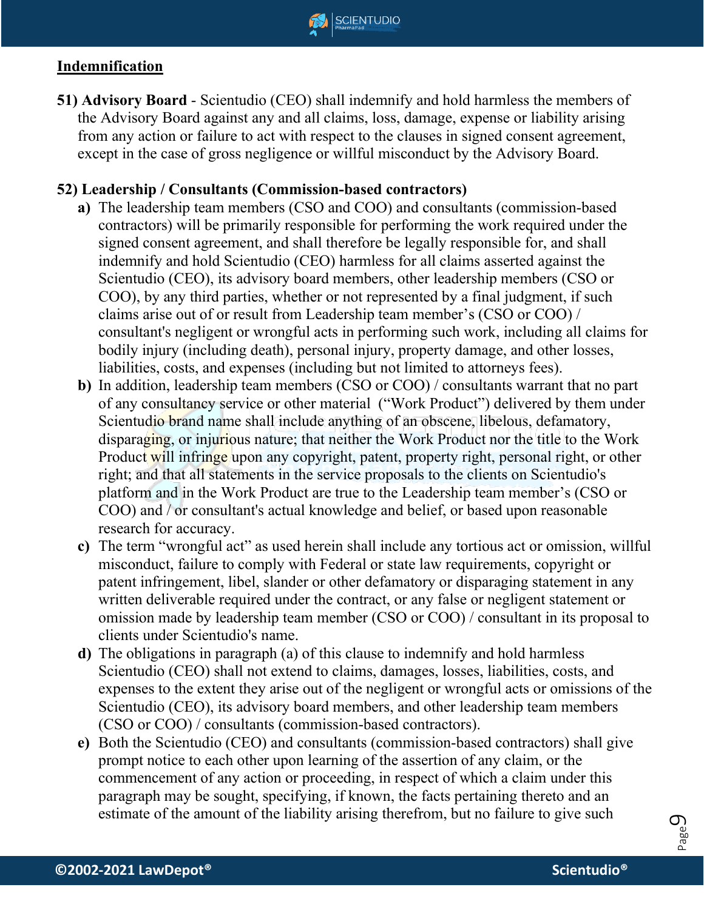

# **Indemnification**

**51) Advisory Board** - Scientudio (CEO) shall indemnify and hold harmless the members of the Advisory Board against any and all claims, loss, damage, expense or liability arising from any action or failure to act with respect to the clauses in signed consent agreement, except in the case of gross negligence or willful misconduct by the Advisory Board.

## **52) Leadership / Consultants (Commission-based contractors)**

- **a)** The leadership team members (CSO and COO) and consultants (commission-based contractors) will be primarily responsible for performing the work required under the signed consent agreement, and shall therefore be legally responsible for, and shall indemnify and hold Scientudio (CEO) harmless for all claims asserted against the Scientudio (CEO), its advisory board members, other leadership members (CSO or COO), by any third parties, whether or not represented by a final judgment, if such claims arise out of or result from Leadership team member's (CSO or COO) / consultant's negligent or wrongful acts in performing such work, including all claims for bodily injury (including death), personal injury, property damage, and other losses, liabilities, costs, and expenses (including but not limited to attorneys fees).
- **b)** In addition, leadership team members (CSO or COO) / consultants warrant that no part of any consultancy service or other material ("Work Product") delivered by them under Scientudio brand name shall include anything of an obscene, libelous, defamatory, disparaging, or injurious nature; that neither the Work Product nor the title to the Work Product will infringe upon any copyright, patent, property right, personal right, or other right; and that all statements in the service proposals to the clients on Scientudio's platform and in the Work Product are true to the Leadership team member's (CSO or COO) and / or consultant's actual knowledge and belief, or based upon reasonable research for accuracy.
- **c)** The term "wrongful act" as used herein shall include any tortious act or omission, willful misconduct, failure to comply with Federal or state law requirements, copyright or patent infringement, libel, slander or other defamatory or disparaging statement in any written deliverable required under the contract, or any false or negligent statement or omission made by leadership team member (CSO or COO) / consultant in its proposal to clients under Scientudio's name.
- **d)** The obligations in paragraph (a) of this clause to indemnify and hold harmless Scientudio (CEO) shall not extend to claims, damages, losses, liabilities, costs, and expenses to the extent they arise out of the negligent or wrongful acts or omissions of the Scientudio (CEO), its advisory board members, and other leadership team members (CSO or COO) / consultants (commission-based contractors).
- **e)** Both the Scientudio (CEO) and consultants (commission-based contractors) shall give prompt notice to each other upon learning of the assertion of any claim, or the commencement of any action or proceeding, in respect of which a claim under this paragraph may be sought, specifying, if known, the facts pertaining thereto and an estimate of the amount of the liability arising therefrom, but no failure to give such

Page  $\mathcal{O}_2$